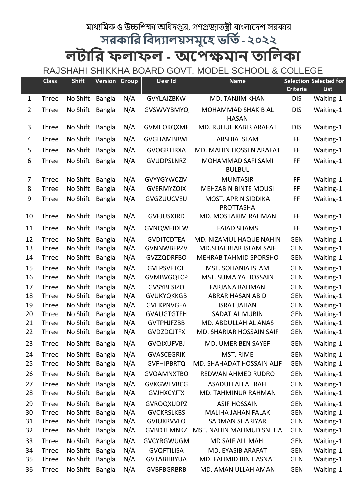## মাধ্যামক ও উচ্চাশক্ষা আধদপ্তর, গণপ্রজাতন্ত্রী বাংলাদেশ সরকার

**সরকারর রিদ্যালয়সমূহে ভরতি- ২০২২**

## **লটারর ফলাফল - অহেক্ষমান তারলকা** RAJSHAHI SHIKKHA BOARD GOVT. MODEL SCHOOL & COLLEGE

|                | <b>Class</b>   | <b>Shift</b>         | <b>Version Group</b>           |            | <b>Uesr Id</b>                         | <b>Name</b>                                    | <b>Criteria</b>          | <b>Selection Selected for</b><br>List |
|----------------|----------------|----------------------|--------------------------------|------------|----------------------------------------|------------------------------------------------|--------------------------|---------------------------------------|
| $\mathbf{1}$   | Three          | No Shift             | <b>Bangla</b>                  | N/A        | <b>GVYLAJZBKW</b>                      | MD. TANJIM KHAN                                | <b>DIS</b>               | Waiting-1                             |
| $\overline{2}$ | Three          | No Shift             | <b>Bangla</b>                  | N/A        | <b>GVSWVYBMYQ</b>                      | MOHAMMAD SHAKIB AL<br><b>HASAN</b>             | <b>DIS</b>               | Waiting-1                             |
| 3              | Three          | No Shift             | <b>Bangla</b>                  | N/A        | <b>GVMEOKQXMF</b>                      | MD. RUHUL KABIR ARAFAT                         | <b>DIS</b>               | Waiting-1                             |
| 4              | Three          | No Shift             | <b>Bangla</b>                  | N/A        | <b>GVGHAMBRWL</b>                      | <b>ARSHIA ISLAM</b>                            | FF                       | Waiting-1                             |
| 5              | Three          | No Shift             | <b>Bangla</b>                  | N/A        | <b>GVOGRTIRXA</b>                      | MD. MAHIN HOSSEN ARAFAT                        | FF                       | Waiting-1                             |
| 6              | Three          | No Shift             | <b>Bangla</b>                  | N/A        | <b>GVUDPSLNRZ</b>                      | MOHAMMAD SAFI SAMI<br><b>BULBUL</b>            | FF                       | Waiting-1                             |
| 7              | Three          | No Shift             | <b>Bangla</b>                  | N/A        | <b>GVYYGYWCZM</b>                      | <b>MUNTASIR</b>                                | FF                       | Waiting-1                             |
| 8              | Three          | No Shift             | <b>Bangla</b>                  | N/A        | <b>GVERMYZOIX</b>                      | <b>MEHZABIN BINTE MOUSI</b>                    | FF                       | Waiting-1                             |
| 9              | Three          | No Shift             | Bangla                         | N/A        | GVGZUUCVEU                             | <b>MOST. APRIN SIDDIKA</b><br><b>PROTTASHA</b> | FF                       | Waiting-1                             |
| 10             | Three          | No Shift             | <b>Bangla</b>                  | N/A        | <b>GVFJUSXJRD</b>                      | MD. MOSTAKIM RAHMAN                            | FF                       | Waiting-1                             |
| 11             | Three          | No Shift             | <b>Bangla</b>                  | N/A        | <b>GVNQWFJDLW</b>                      | <b>FAIAD SHAMS</b>                             | FF                       | Waiting-1                             |
| 12             | Three          | No Shift             | <b>Bangla</b>                  | N/A        | <b>GVDITCDTEA</b>                      | MD. NIZAMUL HAQUE NAHIN                        | <b>GEN</b>               | Waiting-1                             |
| 13             | Three          | No Shift             | <b>Bangla</b>                  | N/A        | <b>GVNNWBFPZV</b>                      | MD.SHAHRIAR ISLAM SAIF                         | <b>GEN</b>               | Waiting-1                             |
| 14             | Three          | No Shift             | <b>Bangla</b>                  | N/A        | <b>GVZZQDRFBO</b>                      | MEHRAB TAHMID SPORSHO                          | <b>GEN</b>               | Waiting-1                             |
| 15             | Three          | No Shift             | Bangla                         | N/A        | <b>GVLPSVFTOE</b>                      | MST. SOHANIA ISLAM                             | <b>GEN</b>               | Waiting-1                             |
| 16             | Three          | No Shift             | <b>Bangla</b>                  | N/A        | <b>GVMBVGQLCP</b>                      | MST. SUMAIYA HOSSAIN                           | <b>GEN</b>               | Waiting-1                             |
| 17             | Three          | No Shift             | <b>Bangla</b>                  | N/A        | <b>GVSYBESIZO</b>                      | <b>FARJANA RAHMAN</b>                          | <b>GEN</b>               | Waiting-1                             |
| 18             | Three          | No Shift             | <b>Bangla</b>                  | N/A        | <b>GVUKYQKKGB</b>                      | <b>ABRAR HASAN ABID</b>                        | <b>GEN</b>               | Waiting-1                             |
| 19<br>20       | Three          | No Shift<br>No Shift | <b>Bangla</b>                  | N/A        | <b>GVEKPNVGFA</b><br><b>GVAUGTGTFH</b> | <b>ISRAT JAHAN</b><br>SADAT AL MUBIN           | <b>GEN</b><br><b>GEN</b> | Waiting-1                             |
| 21             | Three<br>Three | No Shift             | <b>Bangla</b><br><b>Bangla</b> | N/A<br>N/A | <b>GVTPHJFZBB</b>                      | MD. ABDULLAH AL ANAS                           | <b>GEN</b>               | Waiting-1<br>Waiting-1                |
| 22             | Three          | No Shift             | <b>Bangla</b>                  | N/A        | <b>GVDZDCJTFX</b>                      | MD. SHARIAR HOSSAIN SAIF                       | <b>GEN</b>               | Waiting-1                             |
| 23             | Three          | No Shift Bangla      |                                | N/A        | <b>GVQIXUFVBJ</b>                      | MD. UMER BEN SAYEF                             | <b>GEN</b>               | Waiting-1                             |
| 24             | Three          | No Shift             | <b>Bangla</b>                  | N/A        | <b>GVASCEGRIK</b>                      | MST. RIME                                      | <b>GEN</b>               | Waiting-1                             |
| 25             | Three          | No Shift             | <b>Bangla</b>                  | N/A        | <b>GVFHIPBRTQ</b>                      | MD. SHAHADAT HOSSAIN ALIF                      | <b>GEN</b>               | Waiting-1                             |
| 26             | Three          | No Shift             | <b>Bangla</b>                  | N/A        | <b>GVOAMNXTBO</b>                      | REDWAN AHMED RUDRO                             | <b>GEN</b>               | Waiting-1                             |
| 27             | Three          | No Shift             | <b>Bangla</b>                  | N/A        | <b>GVKGWEVBCG</b>                      | <b>ASADULLAH AL RAFI</b>                       | <b>GEN</b>               | Waiting-1                             |
| 28             | Three          | No Shift             | <b>Bangla</b>                  | N/A        | <b>GVJHXCYJTX</b>                      | MD. TAHMINUR RAHMAN                            | <b>GEN</b>               | Waiting-1                             |
| 29             | Three          | No Shift             | <b>Bangla</b>                  | N/A        | <b>GVROQXUDPZ</b>                      | <b>ASIF HOSSAIN</b>                            | <b>GEN</b>               | Waiting-1                             |
| 30             | Three          | No Shift             | <b>Bangla</b>                  | N/A        | <b>GVCKRSLKBS</b>                      | <b>MALIHA JAHAN FALAK</b>                      | <b>GEN</b>               | Waiting-1                             |
| 31             | Three          | No Shift             | <b>Bangla</b>                  | N/A        | <b>GVIUKRVVLO</b>                      | <b>SADMAN SHARIYAR</b>                         | <b>GEN</b>               | Waiting-1                             |
| 32             | Three          | No Shift             | <b>Bangla</b>                  | N/A        | <b>GVBDTEMNKZ</b>                      | MST. NAHIN MAHMUD SNEHA                        | <b>GEN</b>               | Waiting-1                             |
| 33             | Three          | No Shift             | <b>Bangla</b>                  | N/A        | <b>GVCYRGWUGM</b>                      | <b>MD SAIF ALL MAHI</b>                        | <b>GEN</b>               | Waiting-1                             |
| 34<br>35       | Three<br>Three | No Shift<br>No Shift | Bangla<br><b>Bangla</b>        | N/A<br>N/A | <b>GVQFTILISA</b><br><b>GVTABHRYUA</b> | MD. EYASIB ARAFAT<br>MD. FAHMID BIN HASNAT     | <b>GEN</b><br><b>GEN</b> | Waiting-1<br>Waiting-1                |
| 36             | Three          | No Shift             | <b>Bangla</b>                  | N/A        | <b>GVBFBGRBRB</b>                      | MD. AMAN ULLAH AMAN                            | <b>GEN</b>               | Waiting-1                             |
|                |                |                      |                                |            |                                        |                                                |                          |                                       |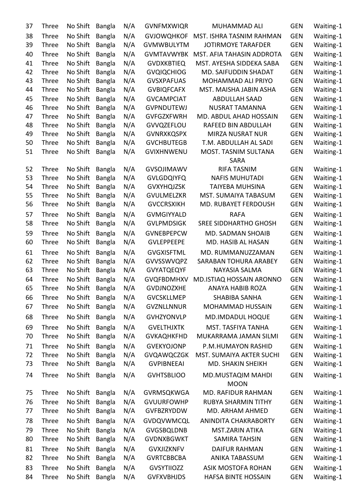| 37       | <b>Three</b> | No Shift | <b>Bangla</b>                  | N/A        | <b>GVNFMXWIQR</b> | MUHAMMAD ALI                        | <b>GEN</b> | Waiting-1              |
|----------|--------------|----------|--------------------------------|------------|-------------------|-------------------------------------|------------|------------------------|
| 38       | <b>Three</b> | No Shift | <b>Bangla</b>                  | N/A        | <b>GVJOWQHKOF</b> | MST. ISHRA TASNIM RAHMAN            | <b>GEN</b> | Waiting-1              |
| 39       | <b>Three</b> | No Shift | <b>Bangla</b>                  | N/A        | <b>GVMWBULYTM</b> | <b>JOTIRMOYE TARAFDER</b>           | <b>GEN</b> | Waiting-1              |
| 40       | <b>Three</b> | No Shift | Bangla                         | N/A        | <b>GVMTAVWYBK</b> | MST. AFIA TAHASIN ADDROTA           | <b>GEN</b> | Waiting-1              |
| 41       | Three        | No Shift | <b>Bangla</b>                  | N/A        | <b>GVDXKBTIEQ</b> | MST. AYESHA SIDDEKA SABA            | <b>GEN</b> | Waiting-1              |
| 42       | <b>Three</b> | No Shift | <b>Bangla</b>                  | N/A        | <b>GVQIQCHIOG</b> | MD. SAIFUDDIN SHADAT                | <b>GEN</b> | Waiting-1              |
| 43       | Three        | No Shift | <b>Bangla</b>                  | N/A        | <b>GVSXPAFUAS</b> | MOHAMMAD ALI PRIYO                  | <b>GEN</b> | Waiting-1              |
| 44       | Three        | No Shift | <b>Bangla</b>                  | N/A        | <b>GVBIQFCAFX</b> | MST. MAISHA JABIN ASHA              | <b>GEN</b> | Waiting-1              |
| 45       | Three        | No Shift | <b>Bangla</b>                  | N/A        | <b>GVCAMPCIAT</b> | <b>ABDULLAH SAAD</b>                | <b>GEN</b> | Waiting-1              |
| 46       | Three        | No Shift | <b>Bangla</b>                  | N/A        | <b>GVPNDUTEWJ</b> | <b>NUSRAT TAMANNA</b>               | <b>GEN</b> | Waiting-1              |
| 47       | Three        | No Shift | <b>Bangla</b>                  | N/A        | <b>GVFGZXFWRH</b> | MD. ABDUL AHAD HOSSAIN              | <b>GEN</b> | Waiting-1              |
| 48       | <b>Three</b> | No Shift | Bangla                         | N/A        | <b>GVVQZEFLOU</b> | RAFEED BIN ABDULLAH                 | <b>GEN</b> | Waiting-1              |
| 49       | Three        | No Shift | <b>Bangla</b>                  | N/A        | <b>GVNRXKQSPX</b> | <b>MIRZA NUSRAT NUR</b>             | <b>GEN</b> | Waiting-1              |
| 50       | Three        | No Shift | <b>Bangla</b>                  | N/A        | <b>GVCHBUTEGB</b> | T.M. ABDULLAH AL SADI               | <b>GEN</b> | Waiting-1              |
| 51       | <b>Three</b> | No Shift | <b>Bangla</b>                  | N/A        | <b>GVIXHNWENU</b> | MOST. TASNIM SULTANA<br><b>SARA</b> | <b>GEN</b> | Waiting-1              |
| 52       | <b>Three</b> | No Shift | <b>Bangla</b>                  | N/A        | <b>GVSOJIMAWV</b> | <b>RIFA TASNIM</b>                  | <b>GEN</b> | Waiting-1              |
| 53       | <b>Three</b> | No Shift | <b>Bangla</b>                  | N/A        | <b>GVLGDQIYFQ</b> | <b>NAFIS MUHUTADI</b>               | <b>GEN</b> | Waiting-1              |
| 54       | <b>Three</b> | No Shift | <b>Bangla</b>                  | N/A        | <b>GVXYHQJZSK</b> | <b>TAIYEBA MUHSINA</b>              | <b>GEN</b> | Waiting-1              |
| 55       | Three        | No Shift | <b>Bangla</b>                  | N/A        | <b>GVULMELZKR</b> | MST. SUMAIYA TABASUM                | <b>GEN</b> | Waiting-1              |
| 56       | Three        | No Shift | <b>Bangla</b>                  | N/A        | <b>GVCCRSXIKH</b> | MD. RUBAYET FERDOUSH                | <b>GEN</b> | Waiting-1              |
| 57       | Three        | No Shift | Bangla                         | N/A        | <b>GVMGIYYALD</b> | <b>RAFA</b>                         | <b>GEN</b> | Waiting-1              |
| 58       | Three        | No Shift | <b>Bangla</b>                  | N/A        | <b>GVLPMDSIGK</b> | <b>SREE SIDDHARTHO GHOSH</b>        | <b>GEN</b> | Waiting-1              |
| 59       | <b>Three</b> | No Shift | <b>Bangla</b>                  | N/A        | <b>GVNEBPEPCW</b> | MD. SADMAN SHOAIB                   | <b>GEN</b> | Waiting-1              |
| 60       | Three        | No Shift | <b>Bangla</b>                  | N/A        | <b>GVLEPPEEPE</b> | MD. HASIB AL HASAN                  | <b>GEN</b> | Waiting-1              |
| 61       | Three        | No Shift | <b>Bangla</b>                  | N/A        | <b>GVGXISFTML</b> | MD. RUMMANUZZAMAN                   | <b>GEN</b> | Waiting-1              |
| 62       | Three        | No Shift | <b>Bangla</b>                  | N/A        | GVVSSWVQPZ        | SARABAN TOHURA ARABEY               | <b>GEN</b> | Waiting-1              |
| 63       | Three        | No Shift | <b>Bangla</b>                  | N/A        | <b>GVYATQEQYF</b> | <b>NAYASIA SALMA</b>                | <b>GEN</b> | Waiting-1              |
| 64       | Three        | No Shift | Bangla                         | N/A        | <b>GVQFBDMHXV</b> | MD.ISTIAQ HOSSAIN ARONNO            | <b>GEN</b> | Waiting-1              |
| 65       | Three        | No Shift | <b>Bangla</b>                  | N/A        | <b>GVDJNOZXHE</b> | ANAYA HABIB ROZA                    | <b>GEN</b> | Waiting-1              |
| 66       | Three        | No Shift | Bangla                         | N/A        | <b>GVCSKLLMEP</b> | <b>SHABIBA SANHA</b>                | <b>GEN</b> | Waiting-1              |
| 67       | Three        | No Shift | <b>Bangla</b>                  | N/A        | <b>GVZNLLNNUR</b> | MOHAMMAD HUSSAIN                    | <b>GEN</b> | Waiting-1              |
| 68       | Three        | No Shift | <b>Bangla</b>                  | N/A        | <b>GVHZYONVLP</b> | <b>MD.IMDADUL HOQUE</b>             | <b>GEN</b> | Waiting-1              |
| 69       | <b>Three</b> | No Shift | <b>Bangla</b>                  | N/A        | <b>GVELTHJXTK</b> | MST. TASFIYA TANHA                  | <b>GEN</b> | Waiting-1              |
| 70       | Three        | No Shift | <b>Bangla</b>                  | N/A        | <b>GVKAQHKFHD</b> | MUKARRAMA JAMAN SILMI               | <b>GEN</b> | Waiting-1              |
| 71       | Three        | No Shift | Bangla                         | N/A        | <b>GVEKYOJONP</b> | P.M.HUMAYON RASHID                  | <b>GEN</b> | Waiting-1              |
| 72       | Three        | No Shift | <b>Bangla</b>                  | N/A        | <b>GVQAWQCZGK</b> | MST. SUMAIYA AKTER SUCHI            | <b>GEN</b> | Waiting-1              |
| 73       | Three        | No Shift | <b>Bangla</b>                  | N/A        | <b>GVPIBNEEAI</b> | MD. SHAKIN SHEIKH                   | <b>GEN</b> | Waiting-1              |
| 74       | Three        | No Shift | <b>Bangla</b>                  | N/A        | <b>GVHTSBLIOO</b> | MD.MUSTAQIM MAHDI                   | <b>GEN</b> | Waiting-1              |
| 75       | Three        | No Shift |                                | N/A        | GVRMSQKWGA        | <b>MOON</b><br>MD. RAFIDUR RAHMAN   | <b>GEN</b> | Waiting-1              |
|          | Three        | No Shift | <b>Bangla</b><br><b>Bangla</b> |            | <b>GVUURFOWHP</b> | <b>RUBYA SHARMIN TITHY</b>          | <b>GEN</b> |                        |
| 76<br>77 | Three        | No Shift | <b>Bangla</b>                  | N/A<br>N/A | <b>GVFBZRYDDW</b> | MD. ARHAM AHMED                     | <b>GEN</b> | Waiting-1<br>Waiting-1 |
|          |              |          |                                |            |                   |                                     |            |                        |
| 78       | Three        | No Shift | <b>Bangla</b>                  | N/A        | GVDQVWMCQL        | ANINDITA CHAKRABORTY                | <b>GEN</b> | Waiting-1              |
| 79       | Three        | No Shift | <b>Bangla</b>                  | N/A        | <b>GVGSBQLDNB</b> | <b>MST.ZARIN ATIKA</b>              | <b>GEN</b> | Waiting-1              |
| 80       | Three        | No Shift | <b>Bangla</b>                  | N/A        | <b>GVDNXBGWKT</b> | SAMIRA TAHSIN                       | <b>GEN</b> | Waiting-1              |
| 81       | Three        | No Shift | <b>Bangla</b>                  | N/A        | <b>GVXJIZKNFV</b> | <b>DAIFUR RAHMAN</b>                | <b>GEN</b> | Waiting-1              |
| 82       | Three        | No Shift | <b>Bangla</b>                  | N/A        | <b>GVRTCBBCBA</b> | ANIKA TABASSUM                      | <b>GEN</b> | Waiting-1              |
| 83       | Three        | No Shift | <b>Bangla</b>                  | N/A        | <b>GVSYTIIOZZ</b> | ASIK MOSTOFA ROHAN                  | <b>GEN</b> | Waiting-1              |
| 84       | Three        | No Shift | <b>Bangla</b>                  | N/A        | <b>GVFXVBHJDS</b> | <b>HAFSA BINTE HOSSAIN</b>          | <b>GEN</b> | Waiting-1              |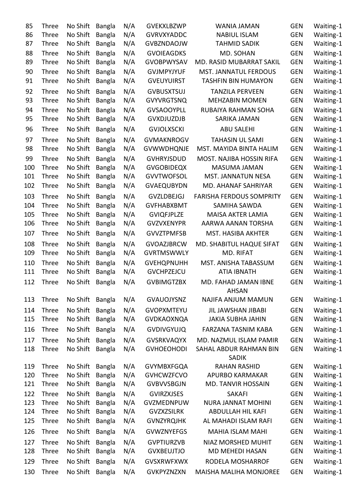| 85  | <b>Three</b> | No Shift | <b>Bangla</b> | N/A | <b>GVEKXLBZWP</b> | <b>WANIA JAMAN</b>                     | <b>GEN</b> | Waiting-1 |
|-----|--------------|----------|---------------|-----|-------------------|----------------------------------------|------------|-----------|
| 86  | Three        | No Shift | <b>Bangla</b> | N/A | <b>GVRVXYADDC</b> | <b>NABIUL ISLAM</b>                    | <b>GEN</b> | Waiting-1 |
| 87  | Three        | No Shift | <b>Bangla</b> | N/A | <b>GVBZNDAOJW</b> | <b>TAHMID SADIK</b>                    | <b>GEN</b> | Waiting-1 |
| 88  | Three        | No Shift | <b>Bangla</b> | N/A | <b>GVOIEAGDKS</b> | MD. SOHAN                              | <b>GEN</b> | Waiting-1 |
| 89  | Three        | No Shift | <b>Bangla</b> | N/A | <b>GVOBPWYSAV</b> | MD. RASID MUBARRAT SAKIL               | <b>GEN</b> | Waiting-1 |
| 90  | Three        | No Shift | <b>Bangla</b> | N/A | <b>GVJMPYJYUF</b> | MST. JANNATUL FERDOUS                  | <b>GEN</b> | Waiting-1 |
| 91  | Three        | No Shift | <b>Bangla</b> | N/A | <b>GVEUYUIRST</b> | <b>TASHFIN BIN HUMAYON</b>             | <b>GEN</b> | Waiting-1 |
| 92  | Three        | No Shift | <b>Bangla</b> | N/A | <b>GVBUSXTSUJ</b> | <b>TANZILA PERVEEN</b>                 | <b>GEN</b> | Waiting-1 |
| 93  | Three        | No Shift | <b>Bangla</b> | N/A | <b>GVYVRGTSNQ</b> | <b>MEHZABIN MOMEN</b>                  | <b>GEN</b> | Waiting-1 |
| 94  | Three        | No Shift | <b>Bangla</b> | N/A | <b>GVSAOOYPLL</b> | RUBAIYA RAHMAN SOHA                    | <b>GEN</b> | Waiting-1 |
| 95  | Three        | No Shift | <b>Bangla</b> | N/A | <b>GVXDJUZDJB</b> | SARIKA JAMAN                           | <b>GEN</b> | Waiting-1 |
| 96  | Three        | No Shift | <b>Bangla</b> | N/A | <b>GVJOLXSCKI</b> | <b>ABU SALEHI</b>                      | <b>GEN</b> | Waiting-1 |
| 97  | Three        | No Shift | <b>Bangla</b> | N/A | <b>GVMAKNROGV</b> | <b>TAHASIN UL SAMI</b>                 | <b>GEN</b> | Waiting-1 |
| 98  | Three        | No Shift | <b>Bangla</b> | N/A | <b>GVWWDHQNJE</b> | MST. MAYIDA BINTA HALIM                | <b>GEN</b> | Waiting-1 |
| 99  | Three        | No Shift | <b>Bangla</b> | N/A | <b>GVHRYJSDUD</b> | MOST. NAJIBA HOSSIN RIFA               | <b>GEN</b> | Waiting-1 |
| 100 | Three        | No Shift | <b>Bangla</b> | N/A | <b>GVGOBIDEQX</b> | <b>MASUMA JAMAN</b>                    | <b>GEN</b> | Waiting-1 |
| 101 | Three        | No Shift | <b>Bangla</b> | N/A | <b>GVVTWOFSOL</b> | MST. JANNATUN NESA                     | <b>GEN</b> | Waiting-1 |
| 102 | Three        | No Shift | <b>Bangla</b> | N/A | <b>GVAEQUBYDN</b> | MD. AHANAF SAHRIYAR                    | <b>GEN</b> | Waiting-1 |
| 103 | Three        | No Shift | <b>Bangla</b> | N/A | <b>GVZLDBEJGJ</b> | <b>FARISHA FERDOUS SOMPRITY</b>        | <b>GEN</b> | Waiting-1 |
| 104 | Three        | No Shift | <b>Bangla</b> | N/A | <b>GVFHABXBMT</b> | SAMIHA SAWDA                           | <b>GEN</b> | Waiting-1 |
| 105 | Three        | No Shift | <b>Bangla</b> | N/A | <b>GVIQFJPLZE</b> | MAISA AKTER LAMIA                      | <b>GEN</b> | Waiting-1 |
| 106 | Three        | No Shift | <b>Bangla</b> | N/A | <b>GVZVXENYPR</b> | AARWA AANAN TORSHA                     | <b>GEN</b> | Waiting-1 |
| 107 | Three        | No Shift | <b>Bangla</b> | N/A | <b>GVVZTPMFSB</b> | MST. HASIBA AKHTER                     | <b>GEN</b> | Waiting-1 |
| 108 | Three        | No Shift | <b>Bangla</b> | N/A | <b>GVOAZJBRCW</b> | MD. SHABITUL HAQUE SIFAT               | <b>GEN</b> | Waiting-1 |
| 109 | Three        | No Shift | <b>Bangla</b> | N/A | <b>GVRTMSWWLY</b> | MD. RIFAT                              | <b>GEN</b> | Waiting-1 |
| 110 | <b>Three</b> | No Shift | <b>Bangla</b> | N/A | <b>GVEHQPNUHH</b> | MST. ANISHA TABASSUM                   | <b>GEN</b> | Waiting-1 |
| 111 | Three        | No Shift | <b>Bangla</b> | N/A | <b>GVCHPZEJCU</b> | <b>ATIA IBNATH</b>                     | <b>GEN</b> | Waiting-1 |
| 112 | Three        | No Shift | <b>Bangla</b> | N/A | <b>GVBIMGTZBX</b> | MD. FAHAD JAMAN IBNE<br><b>AHSAN</b>   | <b>GEN</b> | Waiting-1 |
| 113 | Three        | No Shift | <b>Bangla</b> | N/A | <b>GVAUOJYSNZ</b> | NAJIFA ANJUM MAMUN                     | <b>GEN</b> | Waiting-1 |
| 114 | Three        | No Shift | <b>Bangla</b> | N/A | <b>GVOPXMTEYU</b> | <b>JIL JAWSHAN JIBABI</b>              | <b>GEN</b> | Waiting-1 |
| 115 | Three        | No Shift | <b>Bangla</b> | N/A | <b>GVDKAOXNQA</b> | <b>JAKIA SUBHA JAHIN</b>               | <b>GEN</b> | Waiting-1 |
| 116 | Three        | No Shift | <b>Bangla</b> | N/A | <b>GVDIVGYUJQ</b> | <b>FARZANA TASNIM KABA</b>             | <b>GEN</b> | Waiting-1 |
| 117 | Three        | No Shift | <b>Bangla</b> | N/A | <b>GVSRKVAQYX</b> | MD. NAZMUL ISLAM PAMIR                 | <b>GEN</b> | Waiting-1 |
| 118 | Three        | No Shift | <b>Bangla</b> | N/A | <b>GVHOEOHODI</b> | SAHAL ABDUR RAHMAN BIN<br><b>SADIK</b> | <b>GEN</b> | Waiting-1 |
| 119 | Three        | No Shift | <b>Bangla</b> | N/A | <b>GVYMBXFGQA</b> | <b>RAHAN RASHID</b>                    | <b>GEN</b> | Waiting-1 |
| 120 | Three        | No Shift | <b>Bangla</b> | N/A | <b>GVHCWZFCVO</b> | APURBO KARMAKAR                        | <b>GEN</b> | Waiting-1 |
| 121 | Three        | No Shift | <b>Bangla</b> | N/A | <b>GVBVVSBGJN</b> | <b>MD. TANVIR HOSSAIN</b>              | <b>GEN</b> | Waiting-1 |
| 122 | Three        | No Shift | <b>Bangla</b> | N/A | <b>GVIRZXJSES</b> | <b>SAKAFI</b>                          | <b>GEN</b> | Waiting-1 |
| 123 | Three        | No Shift | <b>Bangla</b> | N/A | GVZMEDNPUW        | <b>NURA JANNAT MOHINI</b>              | <b>GEN</b> | Waiting-1 |
| 124 | Three        | No Shift | <b>Bangla</b> | N/A | <b>GVZXZSILRK</b> | ABDULLAH HIL KAFI                      | <b>GEN</b> | Waiting-1 |
| 125 | Three        | No Shift | <b>Bangla</b> | N/A | <b>GVNZYRQJHK</b> | AL MAHADI ISLAM RAFI                   | <b>GEN</b> | Waiting-1 |
| 126 | Three        | No Shift | <b>Bangla</b> | N/A | <b>GVWZNYEFGS</b> | <b>MAHIA ISLAM MAHI</b>                | <b>GEN</b> | Waiting-1 |
| 127 | Three        | No Shift | <b>Bangla</b> | N/A | <b>GVPTIURZVB</b> | NIAZ MORSHED MUHIT                     | <b>GEN</b> | Waiting-1 |
| 128 | Three        | No Shift | <b>Bangla</b> | N/A | <b>GVXBEUJTJO</b> | MD MEHEDI HASAN                        | <b>GEN</b> | Waiting-1 |
| 129 | Three        | No Shift | <b>Bangla</b> | N/A | <b>GVSXRWFXWX</b> | RODELA MOSHARROF                       | <b>GEN</b> | Waiting-1 |
| 130 | Three        | No Shift | <b>Bangla</b> | N/A | <b>GVKPYZNZXN</b> | <b>MAISHA MALIHA MONJOREE</b>          | <b>GEN</b> | Waiting-1 |